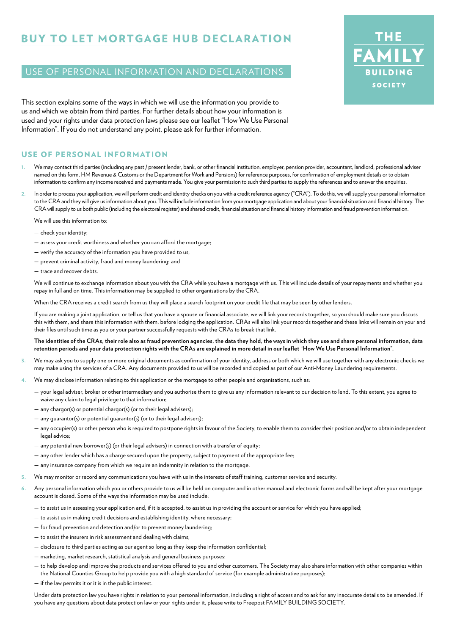# BUY TO LET MORTGAGE HUB DECLARATION

# USE OF PERSONAL INFORMATION AND DECLARATIONS

This section explains some of the ways in which we will use the information you provide to us and which we obtain from third parties. For further details about how your information is used and your rights under data protection laws please see our leaflet "How We Use Personal Information". If you do not understand any point, please ask for further information.

#### USE OF PERSONAL INFORMATION

- We may contact third parties (including any past / present lender, bank, or other financial institution, employer, pension provider, accountant, landlord, professional adviser named on this form, HM Revenue & Customs or the Department for Work and Pensions) for reference purposes, for confirmation of employment details or to obtain information to confirm any income received and payments made. You give your permission to such third parties to supply the references and to answer the enquiries.
- **2.** In order to process your application, we will perform credit and identity checks on you with a credit reference agency ("CRA"). To do this, we will supply your personal information to the CRA and they will give us information about you. This will include information from your mortgage application and about your financial situation and financial history. The CRA will supply to us both public (including the electoral register) and shared credit, financial situation and financial history information and fraud prevention information.

We will use this information to:

- check your identity;
- assess your credit worthiness and whether you can afford the mortgage;
- verify the accuracy of the information you have provided to us;
- prevent criminal activity, fraud and money laundering; and
- trace and recover debts.

We will continue to exchange information about you with the CRA while you have a mortgage with us. This will include details of your repayments and whether you repay in full and on time. This information may be supplied to other organisations by the CRA.

When the CRA receives a credit search from us they will place a search footprint on your credit file that may be seen by other lenders.

 If you are making a joint application, or tell us that you have a spouse or financial associate, we will link your records together, so you should make sure you discuss this with them, and share this information with them, before lodging the application. CRAs will also link your records together and these links will remain on your and their files until such time as you or your partner successfully requests with the CRAs to break that link.

#### **The identities of the CRAs, their role also as fraud prevention agencies, the data they hold, the ways in which they use and share personal information, data retention periods and your data protection rights with the CRAs are explained in more detail in our leaflet "How We Use Personal Information".**

- **3.** We may ask you to supply one or more original documents as confirmation of your identity, address or both which we will use together with any electronic checks we may make using the services of a CRA. Any documents provided to us will be recorded and copied as part of our Anti-Money Laundering requirements.
- **4.** We may disclose information relating to this application or the mortgage to other people and organisations, such as:
	- your legal adviser, broker or other intermediary and you authorise them to give us any information relevant to our decision to lend. To this extent, you agree to waive any claim to legal privilege to that information;
	- any chargor(s) or potential chargor(s) (or to their legal advisers);
	- any guarantor(s) or potential guarantor(s) (or to their legal advisers);
	- any occupier(s) or other person who is required to postpone rights in favour of the Society, to enable them to consider their position and/or to obtain independent legal advice;
	- any potential new borrower(s) (or their legal advisers) in connection with a transfer of equity;
	- any other lender which has a charge secured upon the property, subject to payment of the appropriate fee;
	- any insurance company from which we require an indemnity in relation to the mortgage.
- **5.** We may monitor or record any communications you have with us in the interests of staff training, customer service and security.
- **6.** Any personal information which you or others provide to us will be held on computer and in other manual and electronic forms and will be kept after your mortgage account is closed. Some of the ways the information may be used include:
	- to assist us in assessing your application and, if it is accepted, to assist us in providing the account or service for which you have applied;
	- to assist us in making credit decisions and establishing identity, where necessary;
	- for fraud prevention and detection and/or to prevent money laundering;
	- to assist the insurers in risk assessment and dealing with claims;
	- disclosure to third parties acting as our agent so long as they keep the information confidential;
	- marketing, market research, statistical analysis and general business purposes;
	- to help develop and improve the products and services offered to you and other customers. The Society may also share information with other companies within the National Counties Group to help provide you with a high standard of service (for example administrative purposes);
	- if the law permits it or it is in the public interest.

 Under data protection law you have rights in relation to your personal information, including a right of access and to ask for any inaccurate details to be amended. If you have any questions about data protection law or your rights under it, please write to Freepost FAMILY BUILDING SOCIETY.

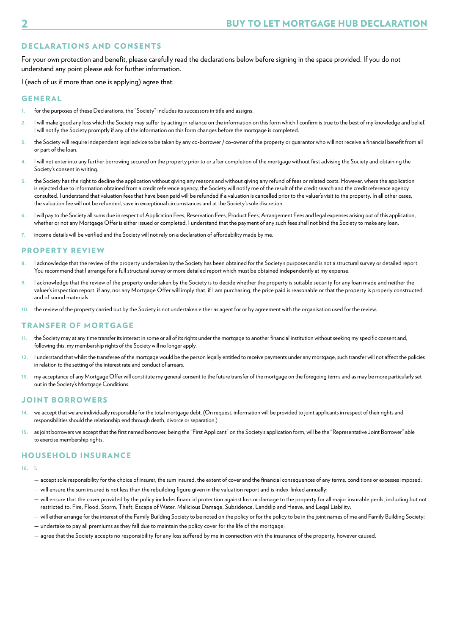# DECLARATIONS AND CONSENTS

For your own protection and benefit, please carefully read the declarations below before signing in the space provided. If you do not understand any point please ask for further information.

I (each of us if more than one is applying) agree that:

#### GENERAL

- **1.** for the purposes of these Declarations, the "Society" includes its successors in title and assigns.
- **2.** I will make good any loss which the Society may suffer by acting in reliance on the information on this form which I confirm is true to the best of my knowledge and belief. I will notify the Society promptly if any of the information on this form changes before the mortgage is completed.
- **3.** the Society will require independent legal advice to be taken by any co-borrower / co-owner of the property or guarantor who will not receive a financial benefit from all or part of the loan.
- **4.** I will not enter into any further borrowing secured on the property prior to or after completion of the mortgage without first advising the Society and obtaining the Society's consent in writing.
- **5.** the Society has the right to decline the application without giving any reasons and without giving any refund of fees or related costs. However, where the application is rejected due to information obtained from a credit reference agency, the Society will notify me of the result of the credit search and the credit reference agency consulted. I understand that valuation fees that have been paid will be refunded if a valuation is cancelled prior to the valuer's visit to the property. In all other cases, the valuation fee will not be refunded, save in exceptional circumstances and at the Society's sole discretion.
- **6.** I will pay to the Society all sums due in respect of Application Fees, Reservation Fees, Product Fees, Arrangement Fees and legal expenses arising out of this application, whether or not any Mortgage Offer is either issued or completed. I understand that the payment of any such fees shall not bind the Society to make any loan.
- **7.** income details will be verified and the Society will not rely on a declaration of affordability made by me.

#### PROPERTY REVIEW

- **8.** I acknowledge that the review of the property undertaken by the Society has been obtained for the Society's purposes and is not a structural survey or detailed report. You recommend that I arrange for a full structural survey or more detailed report which must be obtained independently at my expense.
- **9.** I acknowledge that the review of the property undertaken by the Society is to decide whether the property is suitable security for any loan made and neither the valuer's inspection report, if any, nor any Mortgage Offer will imply that, if I am purchasing, the price paid is reasonable or that the property is properly constructed and of sound materials.
- **10.** the review of the property carried out by the Society is not undertaken either as agent for or by agreement with the organisation used for the review.

### TRANSFER OF MORTGAGE

- **11.** the Society may at any time transfer its interest in some or all of its rights under the mortgage to another financial institution without seeking my specific consent and, following this, my membership rights of the Society will no longer apply.
- **12.** I understand that whilst the transferee of the mortgage would be the person legally entitled to receive payments under any mortgage, such transfer will not affect the policies in relation to the setting of the interest rate and conduct of arrears.
- **13.** my acceptance of any Mortgage Offer will constitute my general consent to the future transfer of the mortgage on the foregoing terms and as may be more particularly set out in the Society's Mortgage Conditions.

#### JOINT BORROWERS

- **14.** we accept that we are individually responsible for the total mortgage debt. (On request, information will be provided to joint applicants in respect of their rights and responsibilities should the relationship end through death, divorce or separation.)
- **15.** as joint borrowers we accept that the first named borrower, being the "First Applicant" on the Society's application form, will be the "Representative Joint Borrower" able to exercise membership rights.

#### HOUSEHOLD INSURANCE

- **16.** I:
	- accept sole responsibility for the choice of insurer, the sum insured, the extent of cover and the financial consequences of any terms, conditions or excesses imposed;
	- will ensure the sum insured is not less than the rebuilding figure given in the valuation report and is index-linked annually;
	- will ensure that the cover provided by the policy includes financial protection against loss or damage to the property for all major insurable perils, including but not restricted to: Fire, Flood, Storm, Theft, Escape of Water, Malicious Damage, Subsidence, Landslip and Heave, and Legal Liability;
	- will either arrange for the interest of the Family Building Society to be noted on the policy or for the policy to be in the joint names of me and Family Building Society;
	- undertake to pay all premiums as they fall due to maintain the policy cover for the life of the mortgage;
	- agree that the Society accepts no responsibility for any loss suffered by me in connection with the insurance of the property, however caused.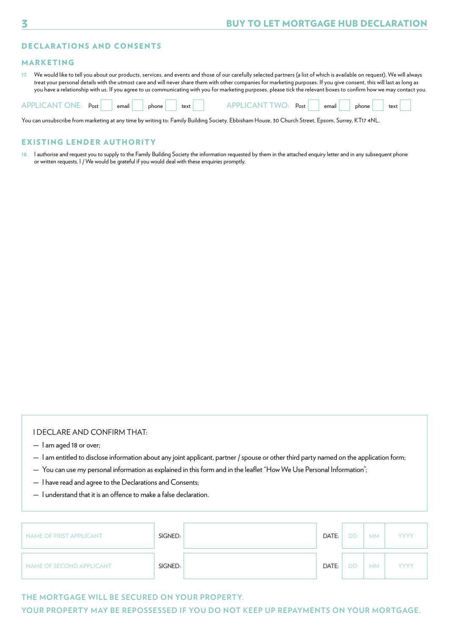### DECLARATIONS AND CONSENTS

#### MARKETING

**17.** We would like to tell you about our products, services, and events and those of our carefully selected partners (a list of which is available on request). We will always treat your personal details with the utmost care and will never share them with other companies for marketing purposes. If you give consent, this will last as long as you have a relationship with us. If you agree to us communicating with you for marketing purposes, please tick the relevant boxes to confirm how we may contact you.

| APPI<br>)NF<br>AN.<br>Post | email | phone | text | WC<br>Post<br>AND. | email | phone | text |  |
|----------------------------|-------|-------|------|--------------------|-------|-------|------|--|
|                            |       |       |      |                    |       |       |      |  |

You can unsubscribe from marketing at any time by writing to: Family Building Society, Ebbisham House, 30 Church Street, Epsom, Surrey, KT17 4NL.

### EXISTING LENDER AUTHORITY

**18.** I authorise and request you to supply to the Family Building Society the information requested by them in the attached enquiry letter and in any subsequent phone or written requests. I / We would be grateful if you would deal with these enquiries promptly.

## I DECLARE AND CONFIRM THAT:

- I am aged 18 or over;
- I am entitled to disclose information about any joint applicant, partner / spouse or other third party named on the application form;
- You can use my personal information as explained in this form and in the leaflet "How We Use Personal Information";
- I have read and agree to the Declarations and Consents;
- I understand that it is an offence to make a false declaration.

| <b>NAME OF FIRST APPLICANT</b> | SIGNED: | DATE: | DD        | <b>MM</b> | <b>YYYY</b> |
|--------------------------------|---------|-------|-----------|-----------|-------------|
| NAME OF SECOND APPLICANT       | SIGNED: | DATE: | <b>DD</b> | <b>MM</b> | <b>YYYY</b> |

#### **THE MORTGAGE WILL BE SECURED ON YOUR PROPERTY.**

**YOUR PROPERTY MAY BE REPOSSESSED IF YOU DO NOT KEEP UP REPAYMENTS ON YOUR MORTGAGE.**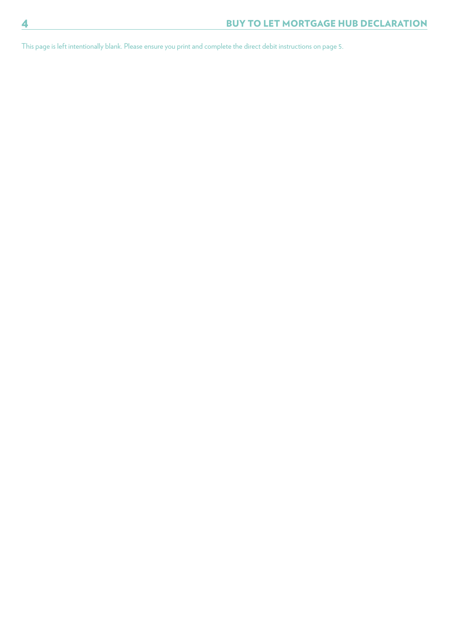This page is left intentionally blank. Please ensure you print and complete the direct debit instructions on page 5.